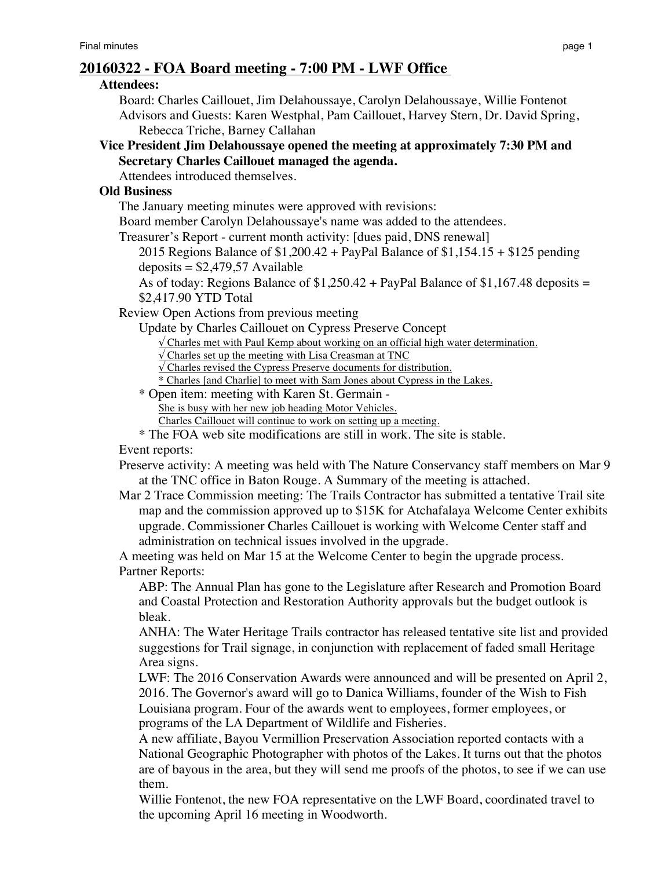# **20160322 - FOA Board meeting - 7:00 PM - LWF Office**

### **Attendees:**

Board: Charles Caillouet, Jim Delahoussaye, Carolyn Delahoussaye, Willie Fontenot Advisors and Guests: Karen Westphal, Pam Caillouet, Harvey Stern, Dr. David Spring, Rebecca Triche, Barney Callahan

**Vice President Jim Delahoussaye opened the meeting at approximately 7:30 PM and Secretary Charles Caillouet managed the agenda.**

Attendees introduced themselves.

## **Old Business**

The January meeting minutes were approved with revisions:

Board member Carolyn Delahoussaye's name was added to the attendees.

Treasurer's Report - current month activity: [dues paid, DNS renewal]

2015 Regions Balance of \$1,200.42 + PayPal Balance of \$1,154.15 + \$125 pending  $deposits = $2,479,57$  Available

As of today: Regions Balance of  $$1,250.42 + PayPal Balance of $1,167.48 deposits =$ \$2,417.90 YTD Total

Review Open Actions from previous meeting

Update by Charles Caillouet on Cypress Preserve Concept

 $\sqrt{\frac{1}{\pi}}$  Charles met with Paul Kemp about working on an official high water determination.

 $\sqrt{\text{Charles set up the meeting with Lisa Creasman at TNC}}$ 

√ Charles revised the Cypress Preserve documents for distribution.

\* Charles [and Charlie] to meet with Sam Jones about Cypress in the Lakes.

\* Open item: meeting with Karen St. Germain - She is busy with her new job heading Motor Vehicles.

Charles Caillouet will continue to work on setting up a meeting.

\* The FOA web site modifications are still in work. The site is stable.

Event reports:

Preserve activity: A meeting was held with The Nature Conservancy staff members on Mar 9 at the TNC office in Baton Rouge. A Summary of the meeting is attached.

Mar 2 Trace Commission meeting: The Trails Contractor has submitted a tentative Trail site map and the commission approved up to \$15K for Atchafalaya Welcome Center exhibits upgrade. Commissioner Charles Caillouet is working with Welcome Center staff and administration on technical issues involved in the upgrade.

A meeting was held on Mar 15 at the Welcome Center to begin the upgrade process. Partner Reports:

ABP: The Annual Plan has gone to the Legislature after Research and Promotion Board and Coastal Protection and Restoration Authority approvals but the budget outlook is bleak.

ANHA: The Water Heritage Trails contractor has released tentative site list and provided suggestions for Trail signage, in conjunction with replacement of faded small Heritage Area signs.

LWF: The 2016 Conservation Awards were announced and will be presented on April 2, 2016. The Governor's award will go to Danica Williams, founder of the Wish to Fish Louisiana program. Four of the awards went to employees, former employees, or programs of the LA Department of Wildlife and Fisheries.

A new affiliate, Bayou Vermillion Preservation Association reported contacts with a National Geographic Photographer with photos of the Lakes. It turns out that the photos are of bayous in the area, but they will send me proofs of the photos, to see if we can use them.

Willie Fontenot, the new FOA representative on the LWF Board, coordinated travel to the upcoming April 16 meeting in Woodworth.